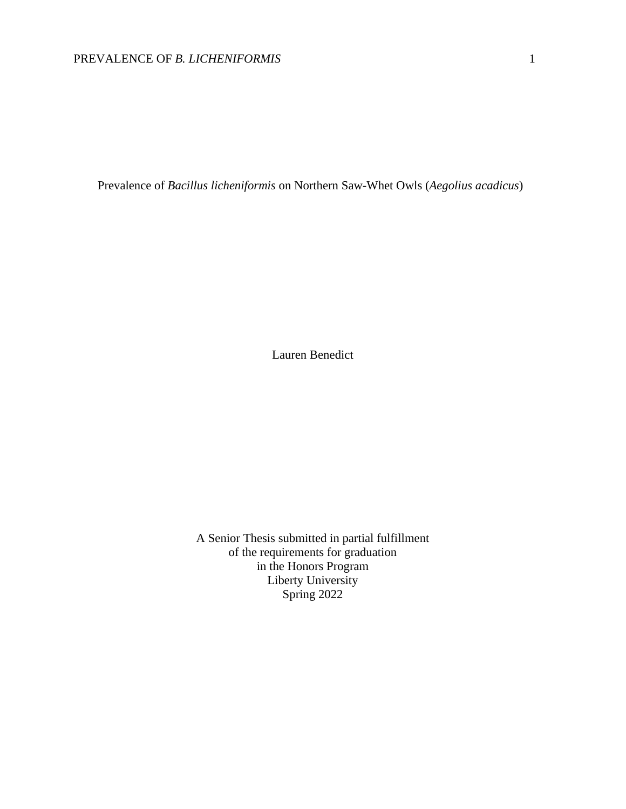Prevalence of *Bacillus licheniformis* on Northern Saw-Whet Owls (*Aegolius acadicus*)

Lauren Benedict

A Senior Thesis submitted in partial fulfillment of the requirements for graduation in the Honors Program Liberty University Spring 2022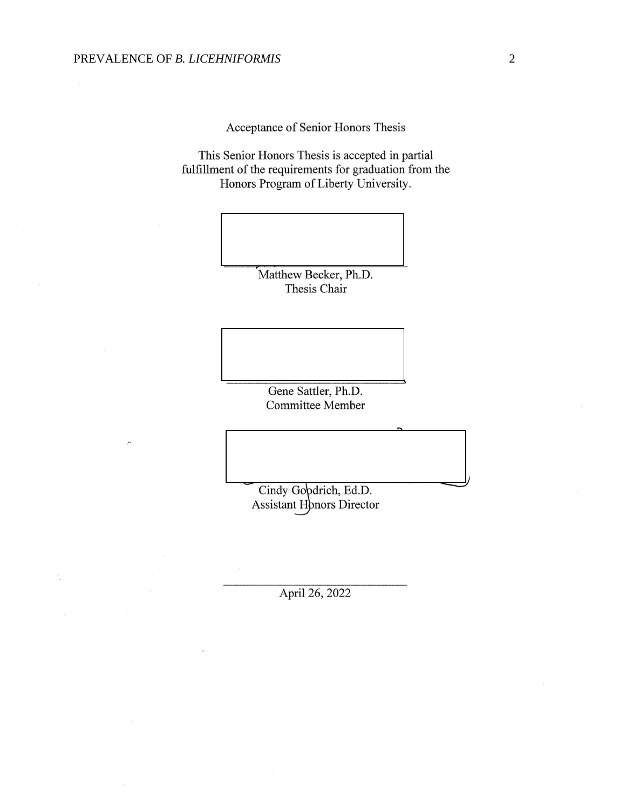Acceptance of Senior Honors Thesis

This Senior Honors Thesis is accepted in partial fulfillment of the requirements for graduation from the Honors Program of Liberty University.

> Matthew Becker, Ph.D. Thesis Chair

Gene Sattler, Ph.D. **Committee Member** 

Cindy Gobdrich, Ed.D. **Assistant Honors Director** 

April 26, 2022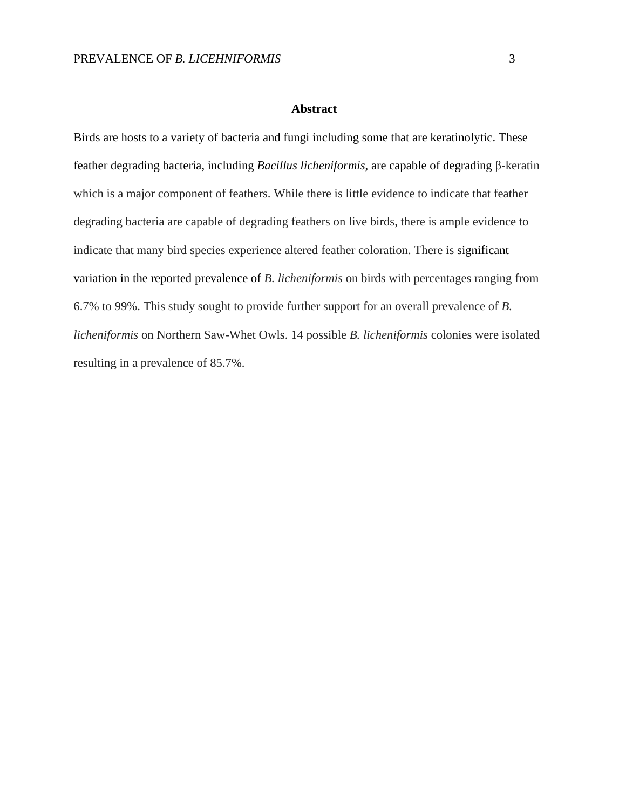#### **Abstract**

Birds are hosts to a variety of bacteria and fungi including some that are keratinolytic. These feather degrading bacteria, including *Bacillus licheniformis*, are capable of degrading β-keratin which is a major component of feathers. While there is little evidence to indicate that feather degrading bacteria are capable of degrading feathers on live birds, there is ample evidence to indicate that many bird species experience altered feather coloration. There is significant variation in the reported prevalence of *B. licheniformis* on birds with percentages ranging from 6.7% to 99%. This study sought to provide further support for an overall prevalence of *B. licheniformis* on Northern Saw-Whet Owls. 14 possible *B. licheniformis* colonies were isolated resulting in a prevalence of 85.7%.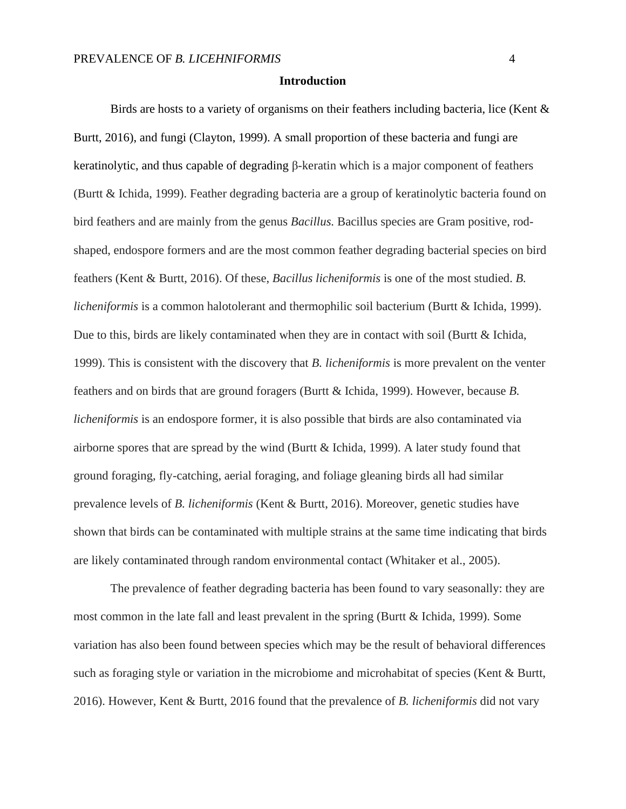#### **Introduction**

Birds are hosts to a variety of organisms on their feathers including bacteria, lice (Kent & Burtt, 2016), and fungi (Clayton, 1999). A small proportion of these bacteria and fungi are keratinolytic, and thus capable of degrading β-keratin which is a major component of feathers (Burtt & Ichida, 1999). Feather degrading bacteria are a group of keratinolytic bacteria found on bird feathers and are mainly from the genus *Bacillus.* Bacillus species are Gram positive, rodshaped, endospore formers and are the most common feather degrading bacterial species on bird feathers (Kent & Burtt, 2016). Of these, *Bacillus licheniformis* is one of the most studied. *B. licheniformis* is a common halotolerant and thermophilic soil bacterium (Burtt & Ichida, 1999). Due to this, birds are likely contaminated when they are in contact with soil (Burtt & Ichida, 1999). This is consistent with the discovery that *B. licheniformis* is more prevalent on the venter feathers and on birds that are ground foragers (Burtt & Ichida, 1999). However, because *B. licheniformis* is an endospore former, it is also possible that birds are also contaminated via airborne spores that are spread by the wind (Burtt  $\&$  Ichida, 1999). A later study found that ground foraging, fly-catching, aerial foraging, and foliage gleaning birds all had similar prevalence levels of *B. licheniformis* (Kent & Burtt, 2016). Moreover, genetic studies have shown that birds can be contaminated with multiple strains at the same time indicating that birds are likely contaminated through random environmental contact (Whitaker et al., 2005).

The prevalence of feather degrading bacteria has been found to vary seasonally: they are most common in the late fall and least prevalent in the spring (Burtt & Ichida, 1999). Some variation has also been found between species which may be the result of behavioral differences such as foraging style or variation in the microbiome and microhabitat of species (Kent & Burtt, 2016). However, Kent & Burtt, 2016 found that the prevalence of *B. licheniformis* did not vary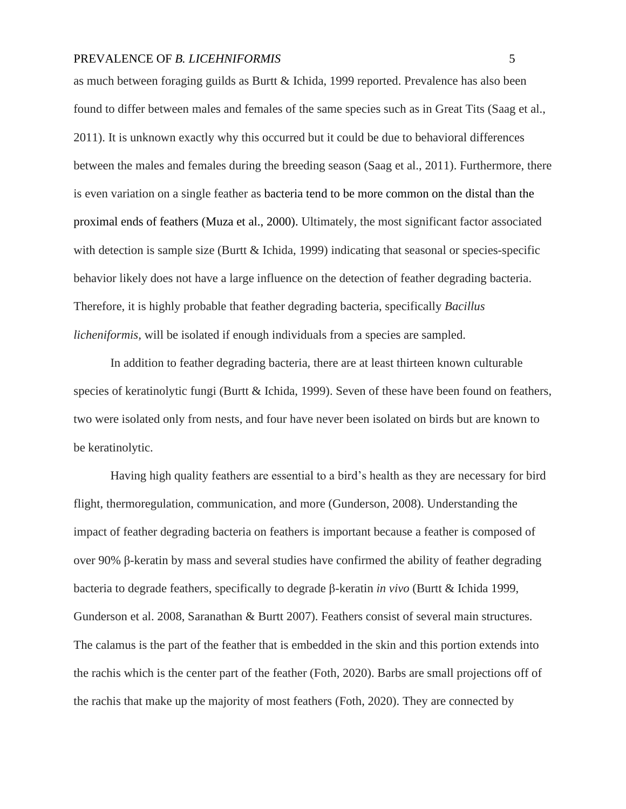as much between foraging guilds as Burtt & Ichida, 1999 reported. Prevalence has also been found to differ between males and females of the same species such as in Great Tits (Saag et al., 2011). It is unknown exactly why this occurred but it could be due to behavioral differences between the males and females during the breeding season (Saag et al., 2011). Furthermore, there is even variation on a single feather as bacteria tend to be more common on the distal than the proximal ends of feathers (Muza et al., 2000). Ultimately, the most significant factor associated with detection is sample size (Burtt  $\&$  Ichida, 1999) indicating that seasonal or species-specific behavior likely does not have a large influence on the detection of feather degrading bacteria. Therefore, it is highly probable that feather degrading bacteria, specifically *Bacillus licheniformis,* will be isolated if enough individuals from a species are sampled.

In addition to feather degrading bacteria, there are at least thirteen known culturable species of keratinolytic fungi (Burtt & Ichida, 1999). Seven of these have been found on feathers, two were isolated only from nests, and four have never been isolated on birds but are known to be keratinolytic.

Having high quality feathers are essential to a bird's health as they are necessary for bird flight, thermoregulation, communication, and more (Gunderson, 2008). Understanding the impact of feather degrading bacteria on feathers is important because a feather is composed of over 90% β-keratin by mass and several studies have confirmed the ability of feather degrading bacteria to degrade feathers, specifically to degrade β-keratin *in vivo* (Burtt & Ichida 1999, Gunderson et al. 2008, Saranathan & Burtt 2007). Feathers consist of several main structures. The calamus is the part of the feather that is embedded in the skin and this portion extends into the rachis which is the center part of the feather (Foth, 2020). Barbs are small projections off of the rachis that make up the majority of most feathers (Foth, 2020). They are connected by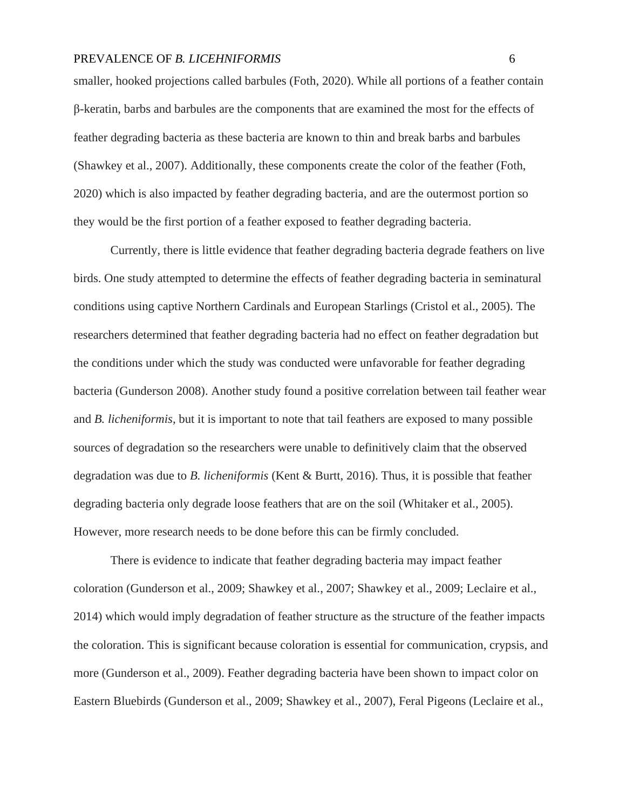smaller, hooked projections called barbules (Foth, 2020). While all portions of a feather contain β-keratin, barbs and barbules are the components that are examined the most for the effects of feather degrading bacteria as these bacteria are known to thin and break barbs and barbules (Shawkey et al., 2007). Additionally, these components create the color of the feather (Foth, 2020) which is also impacted by feather degrading bacteria, and are the outermost portion so they would be the first portion of a feather exposed to feather degrading bacteria.

Currently, there is little evidence that feather degrading bacteria degrade feathers on live birds. One study attempted to determine the effects of feather degrading bacteria in seminatural conditions using captive Northern Cardinals and European Starlings (Cristol et al., 2005). The researchers determined that feather degrading bacteria had no effect on feather degradation but the conditions under which the study was conducted were unfavorable for feather degrading bacteria (Gunderson 2008). Another study found a positive correlation between tail feather wear and *B. licheniformis,* but it is important to note that tail feathers are exposed to many possible sources of degradation so the researchers were unable to definitively claim that the observed degradation was due to *B. licheniformis* (Kent & Burtt, 2016). Thus, it is possible that feather degrading bacteria only degrade loose feathers that are on the soil (Whitaker et al., 2005). However, more research needs to be done before this can be firmly concluded.

There is evidence to indicate that feather degrading bacteria may impact feather coloration (Gunderson et al., 2009; Shawkey et al., 2007; Shawkey et al., 2009; Leclaire et al., 2014) which would imply degradation of feather structure as the structure of the feather impacts the coloration. This is significant because coloration is essential for communication, crypsis, and more (Gunderson et al., 2009). Feather degrading bacteria have been shown to impact color on Eastern Bluebirds (Gunderson et al., 2009; Shawkey et al., 2007), Feral Pigeons (Leclaire et al.,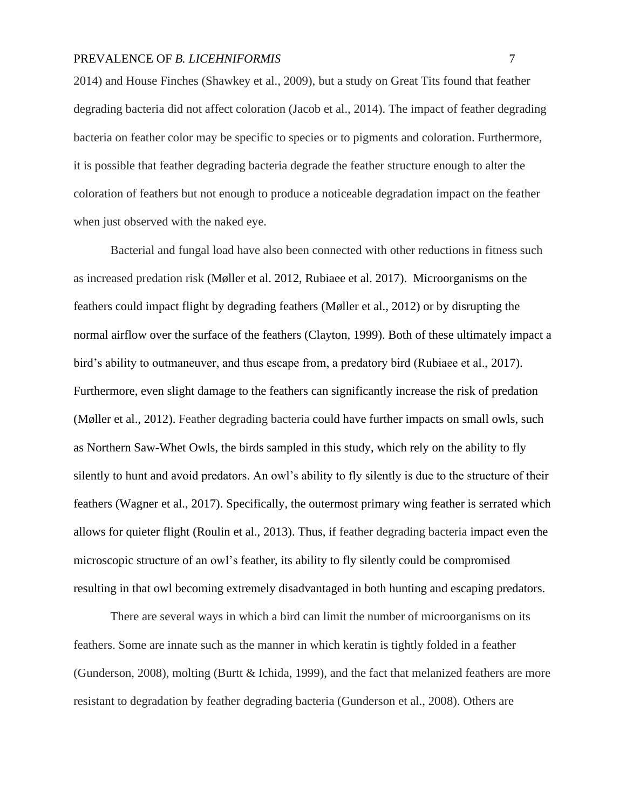2014) and House Finches (Shawkey et al., 2009), but a study on Great Tits found that feather degrading bacteria did not affect coloration (Jacob et al., 2014). The impact of feather degrading bacteria on feather color may be specific to species or to pigments and coloration. Furthermore, it is possible that feather degrading bacteria degrade the feather structure enough to alter the coloration of feathers but not enough to produce a noticeable degradation impact on the feather when just observed with the naked eye.

Bacterial and fungal load have also been connected with other reductions in fitness such as increased predation risk (Møller et al. 2012, Rubiaee et al. 2017). Microorganisms on the feathers could impact flight by degrading feathers (Møller et al., 2012) or by disrupting the normal airflow over the surface of the feathers (Clayton, 1999). Both of these ultimately impact a bird's ability to outmaneuver, and thus escape from, a predatory bird (Rubiaee et al., 2017). Furthermore, even slight damage to the feathers can significantly increase the risk of predation (Møller et al., 2012). Feather degrading bacteria could have further impacts on small owls, such as Northern Saw-Whet Owls, the birds sampled in this study, which rely on the ability to fly silently to hunt and avoid predators. An owl's ability to fly silently is due to the structure of their feathers (Wagner et al., 2017). Specifically, the outermost primary wing feather is serrated which allows for quieter flight (Roulin et al., 2013). Thus, if feather degrading bacteria impact even the microscopic structure of an owl's feather, its ability to fly silently could be compromised resulting in that owl becoming extremely disadvantaged in both hunting and escaping predators.

There are several ways in which a bird can limit the number of microorganisms on its feathers. Some are innate such as the manner in which keratin is tightly folded in a feather (Gunderson, 2008), molting (Burtt & Ichida, 1999), and the fact that melanized feathers are more resistant to degradation by feather degrading bacteria (Gunderson et al., 2008). Others are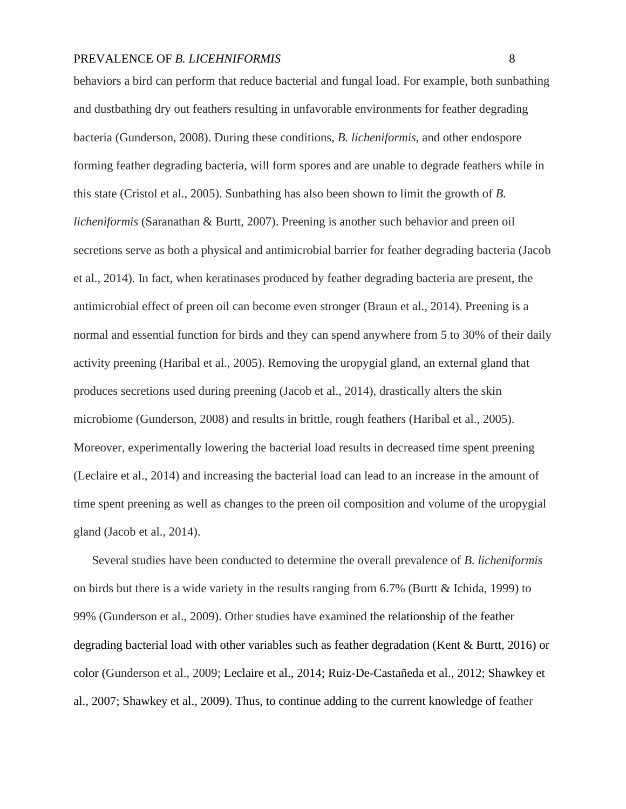behaviors a bird can perform that reduce bacterial and fungal load. For example, both sunbathing and dustbathing dry out feathers resulting in unfavorable environments for feather degrading bacteria (Gunderson, 2008). During these conditions, *B. licheniformis,* and other endospore forming feather degrading bacteria, will form spores and are unable to degrade feathers while in this state (Cristol et al., 2005). Sunbathing has also been shown to limit the growth of *B. licheniformis* (Saranathan & Burtt, 2007). Preening is another such behavior and preen oil secretions serve as both a physical and antimicrobial barrier for feather degrading bacteria (Jacob et al., 2014). In fact, when keratinases produced by feather degrading bacteria are present, the antimicrobial effect of preen oil can become even stronger (Braun et al., 2014). Preening is a normal and essential function for birds and they can spend anywhere from 5 to 30% of their daily activity preening (Haribal et al., 2005). Removing the uropygial gland, an external gland that produces secretions used during preening (Jacob et al., 2014), drastically alters the skin microbiome (Gunderson, 2008) and results in brittle, rough feathers (Haribal et al., 2005). Moreover, experimentally lowering the bacterial load results in decreased time spent preening (Leclaire et al., 2014) and increasing the bacterial load can lead to an increase in the amount of time spent preening as well as changes to the preen oil composition and volume of the uropygial gland (Jacob et al., 2014).

Several studies have been conducted to determine the overall prevalence of *B. licheniformis*  on birds but there is a wide variety in the results ranging from 6.7% (Burtt & Ichida, 1999) to 99% (Gunderson et al., 2009). Other studies have examined the relationship of the feather degrading bacterial load with other variables such as feather degradation (Kent & Burtt, 2016) or color (Gunderson et al., 2009; Leclaire et al., 2014; Ruiz-De-Castañeda et al., 2012; Shawkey et al., 2007; Shawkey et al., 2009). Thus, to continue adding to the current knowledge of feather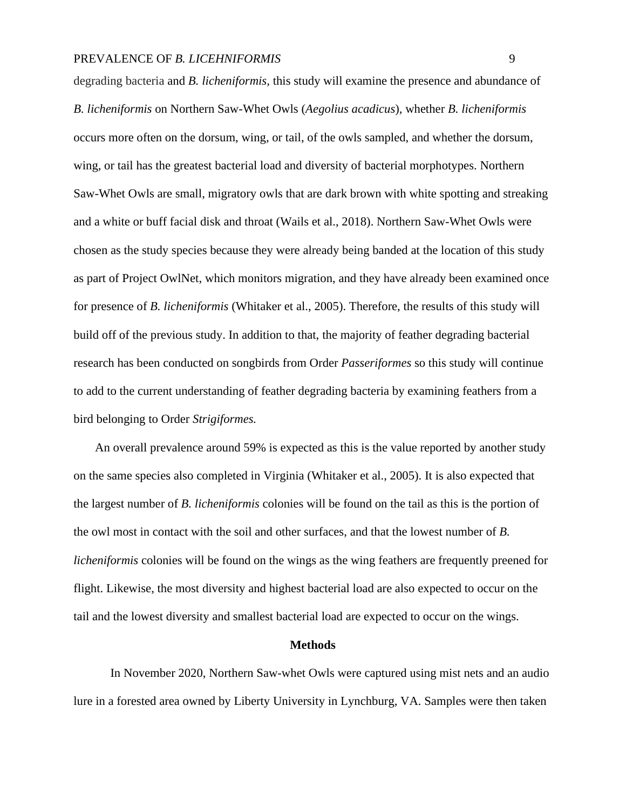degrading bacteria and *B. licheniformis,* this study will examine the presence and abundance of *B. licheniformis* on Northern Saw-Whet Owls (*Aegolius acadicus*), whether *B. licheniformis*  occurs more often on the dorsum, wing, or tail, of the owls sampled, and whether the dorsum, wing, or tail has the greatest bacterial load and diversity of bacterial morphotypes. Northern Saw-Whet Owls are small, migratory owls that are dark brown with white spotting and streaking and a white or buff facial disk and throat (Wails et al., 2018). Northern Saw-Whet Owls were chosen as the study species because they were already being banded at the location of this study as part of Project OwlNet, which monitors migration, and they have already been examined once for presence of *B. licheniformis* (Whitaker et al., 2005). Therefore, the results of this study will build off of the previous study. In addition to that, the majority of feather degrading bacterial research has been conducted on songbirds from Order *Passeriformes* so this study will continue to add to the current understanding of feather degrading bacteria by examining feathers from a bird belonging to Order *Strigiformes.* 

An overall prevalence around 59% is expected as this is the value reported by another study on the same species also completed in Virginia (Whitaker et al., 2005). It is also expected that the largest number of *B. licheniformis* colonies will be found on the tail as this is the portion of the owl most in contact with the soil and other surfaces, and that the lowest number of *B. licheniformis* colonies will be found on the wings as the wing feathers are frequently preened for flight. Likewise, the most diversity and highest bacterial load are also expected to occur on the tail and the lowest diversity and smallest bacterial load are expected to occur on the wings.

#### **Methods**

In November 2020, Northern Saw-whet Owls were captured using mist nets and an audio lure in a forested area owned by Liberty University in Lynchburg, VA. Samples were then taken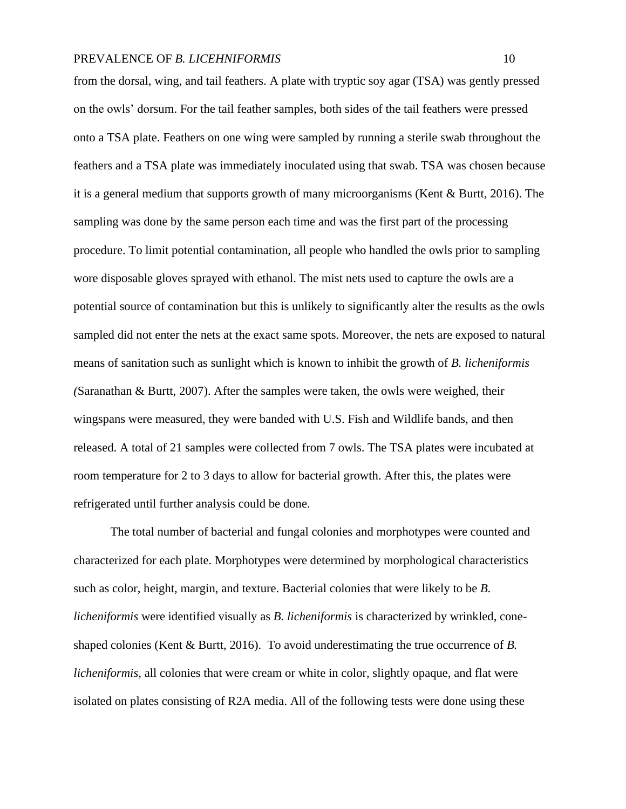from the dorsal, wing, and tail feathers. A plate with tryptic soy agar (TSA) was gently pressed on the owls' dorsum. For the tail feather samples, both sides of the tail feathers were pressed onto a TSA plate. Feathers on one wing were sampled by running a sterile swab throughout the feathers and a TSA plate was immediately inoculated using that swab. TSA was chosen because it is a general medium that supports growth of many microorganisms (Kent & Burtt, 2016). The sampling was done by the same person each time and was the first part of the processing procedure. To limit potential contamination, all people who handled the owls prior to sampling wore disposable gloves sprayed with ethanol. The mist nets used to capture the owls are a potential source of contamination but this is unlikely to significantly alter the results as the owls sampled did not enter the nets at the exact same spots. Moreover, the nets are exposed to natural means of sanitation such as sunlight which is known to inhibit the growth of *B. licheniformis (*Saranathan & Burtt, 2007). After the samples were taken, the owls were weighed, their wingspans were measured, they were banded with U.S. Fish and Wildlife bands, and then released. A total of 21 samples were collected from 7 owls. The TSA plates were incubated at room temperature for 2 to 3 days to allow for bacterial growth. After this, the plates were refrigerated until further analysis could be done.

The total number of bacterial and fungal colonies and morphotypes were counted and characterized for each plate. Morphotypes were determined by morphological characteristics such as color, height, margin, and texture. Bacterial colonies that were likely to be *B. licheniformis* were identified visually as *B. licheniformis* is characterized by wrinkled, coneshaped colonies (Kent & Burtt, 2016). To avoid underestimating the true occurrence of *B. licheniformis*, all colonies that were cream or white in color, slightly opaque, and flat were isolated on plates consisting of R2A media. All of the following tests were done using these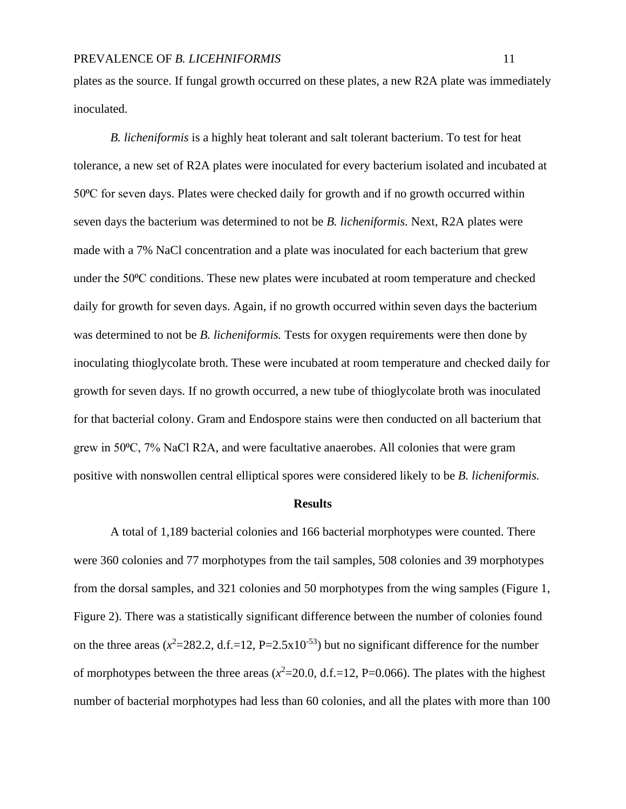plates as the source. If fungal growth occurred on these plates, a new R2A plate was immediately inoculated.

*B. licheniformis* is a highly heat tolerant and salt tolerant bacterium. To test for heat tolerance, a new set of R2A plates were inoculated for every bacterium isolated and incubated at 50⁰C for seven days. Plates were checked daily for growth and if no growth occurred within seven days the bacterium was determined to not be *B. licheniformis.* Next, R2A plates were made with a 7% NaCl concentration and a plate was inoculated for each bacterium that grew under the 50⁰C conditions. These new plates were incubated at room temperature and checked daily for growth for seven days. Again, if no growth occurred within seven days the bacterium was determined to not be *B. licheniformis.* Tests for oxygen requirements were then done by inoculating thioglycolate broth. These were incubated at room temperature and checked daily for growth for seven days. If no growth occurred, a new tube of thioglycolate broth was inoculated for that bacterial colony. Gram and Endospore stains were then conducted on all bacterium that grew in 50⁰C, 7% NaCl R2A, and were facultative anaerobes. All colonies that were gram positive with nonswollen central elliptical spores were considered likely to be *B. licheniformis.* 

#### **Results**

A total of 1,189 bacterial colonies and 166 bacterial morphotypes were counted. There were 360 colonies and 77 morphotypes from the tail samples, 508 colonies and 39 morphotypes from the dorsal samples, and 321 colonies and 50 morphotypes from the wing samples (Figure 1, Figure 2). There was a statistically significant difference between the number of colonies found on the three areas  $(x^2=282.2, d.f.=12, P=2.5x10^{-53})$  but no significant difference for the number of morphotypes between the three areas  $(x^2=20.0, d.f.=12, P=0.066)$ . The plates with the highest number of bacterial morphotypes had less than 60 colonies, and all the plates with more than 100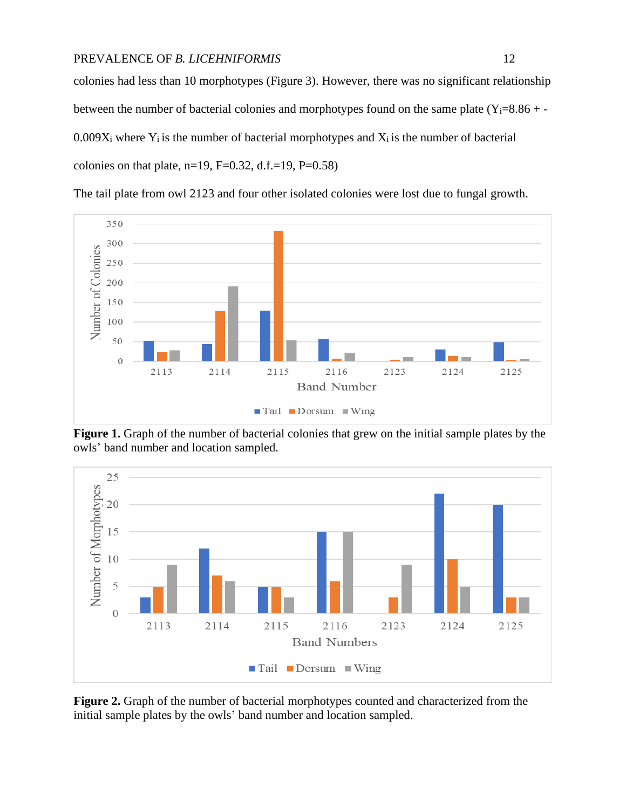colonies had less than 10 morphotypes (Figure 3). However, there was no significant relationship between the number of bacterial colonies and morphotypes found on the same plate  $(Y_i=8.86 + 0.009X_i$  where  $Y_i$  is the number of bacterial morphotypes and  $X_i$  is the number of bacterial colonies on that plate, n=19, F=0.32, d.f.=19, P=0.58)



The tail plate from owl 2123 and four other isolated colonies were lost due to fungal growth.

**Figure 1.** Graph of the number of bacterial colonies that grew on the initial sample plates by the owls' band number and location sampled.



**Figure 2.** Graph of the number of bacterial morphotypes counted and characterized from the initial sample plates by the owls' band number and location sampled.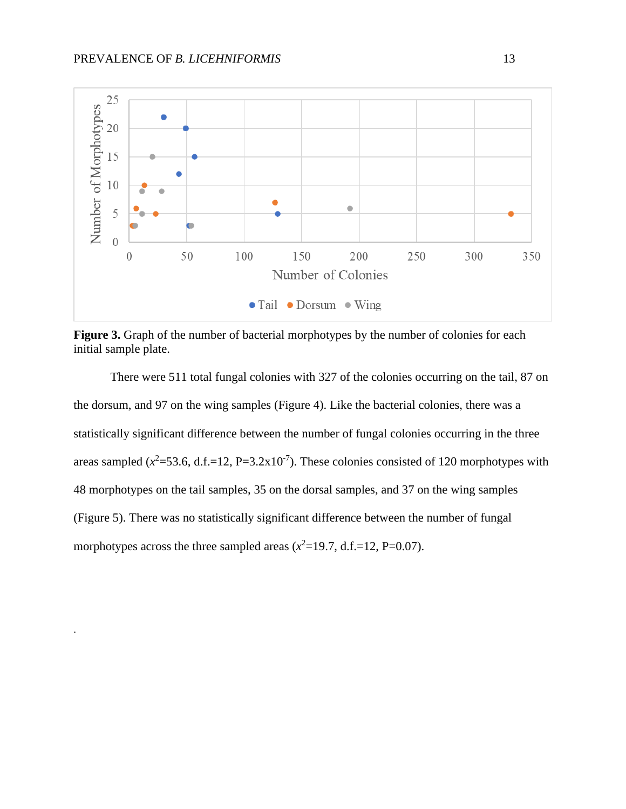.



Figure 3. Graph of the number of bacterial morphotypes by the number of colonies for each initial sample plate.

There were 511 total fungal colonies with 327 of the colonies occurring on the tail, 87 on the dorsum, and 97 on the wing samples (Figure 4). Like the bacterial colonies, there was a statistically significant difference between the number of fungal colonies occurring in the three areas sampled  $(x^2=53.6, d.f.=12, P=3.2x10^{-7})$ . These colonies consisted of 120 morphotypes with 48 morphotypes on the tail samples, 35 on the dorsal samples, and 37 on the wing samples (Figure 5). There was no statistically significant difference between the number of fungal morphotypes across the three sampled areas  $(x^2=19.7, d.f.=12, P=0.07)$ .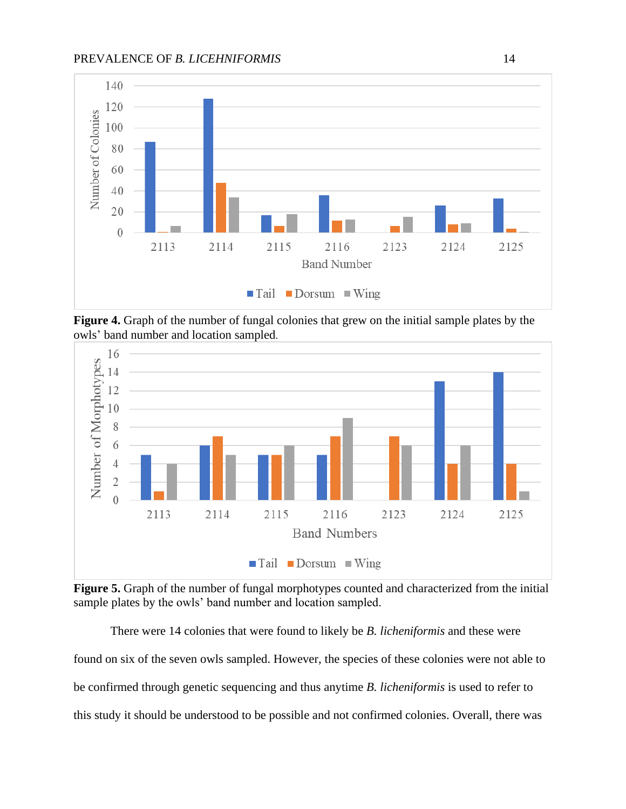

**Figure 4.** Graph of the number of fungal colonies that grew on the initial sample plates by the owls' band number and location sampled.



**Figure 5.** Graph of the number of fungal morphotypes counted and characterized from the initial sample plates by the owls' band number and location sampled.

There were 14 colonies that were found to likely be *B. licheniformis* and these were found on six of the seven owls sampled. However, the species of these colonies were not able to be confirmed through genetic sequencing and thus anytime *B. licheniformis* is used to refer to this study it should be understood to be possible and not confirmed colonies. Overall, there was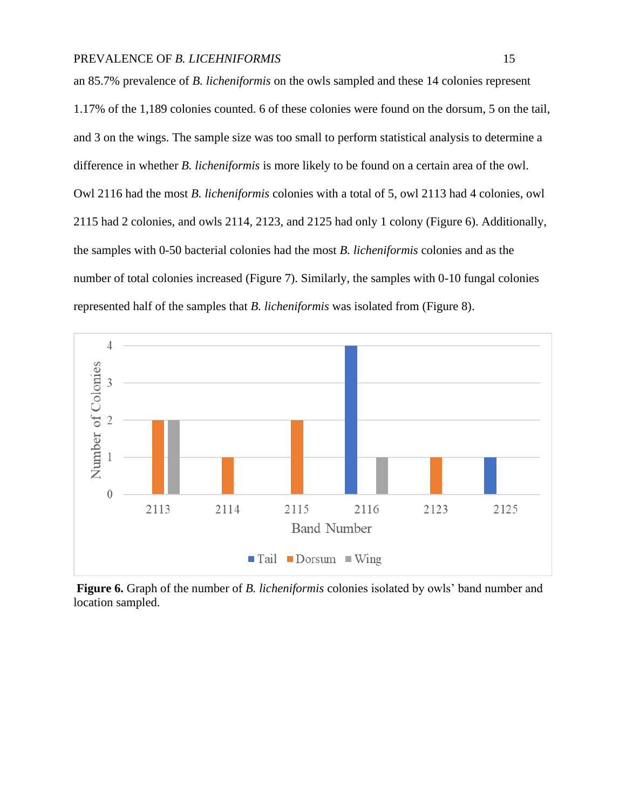an 85.7% prevalence of *B. licheniformis* on the owls sampled and these 14 colonies represent 1.17% of the 1,189 colonies counted. 6 of these colonies were found on the dorsum, 5 on the tail, and 3 on the wings. The sample size was too small to perform statistical analysis to determine a difference in whether *B. licheniformis* is more likely to be found on a certain area of the owl. Owl 2116 had the most *B. licheniformis* colonies with a total of 5, owl 2113 had 4 colonies, owl 2115 had 2 colonies, and owls 2114, 2123, and 2125 had only 1 colony (Figure 6). Additionally, the samples with 0-50 bacterial colonies had the most *B. licheniformis* colonies and as the number of total colonies increased (Figure 7). Similarly, the samples with 0-10 fungal colonies represented half of the samples that *B. licheniformis* was isolated from (Figure 8).



**Figure 6.** Graph of the number of *B. licheniformis* colonies isolated by owls' band number and location sampled.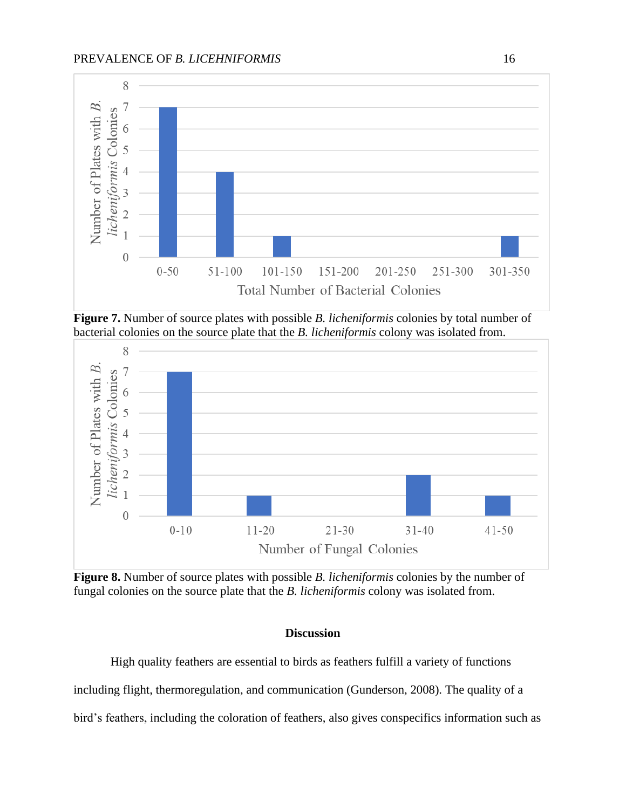

**Figure 7.** Number of source plates with possible *B. licheniformis* colonies by total number of bacterial colonies on the source plate that the *B. licheniformis* colony was isolated from.



**Figure 8.** Number of source plates with possible *B. licheniformis* colonies by the number of fungal colonies on the source plate that the *B. licheniformis* colony was isolated from.

#### **Discussion**

High quality feathers are essential to birds as feathers fulfill a variety of functions including flight, thermoregulation, and communication (Gunderson, 2008). The quality of a bird's feathers, including the coloration of feathers, also gives conspecifics information such as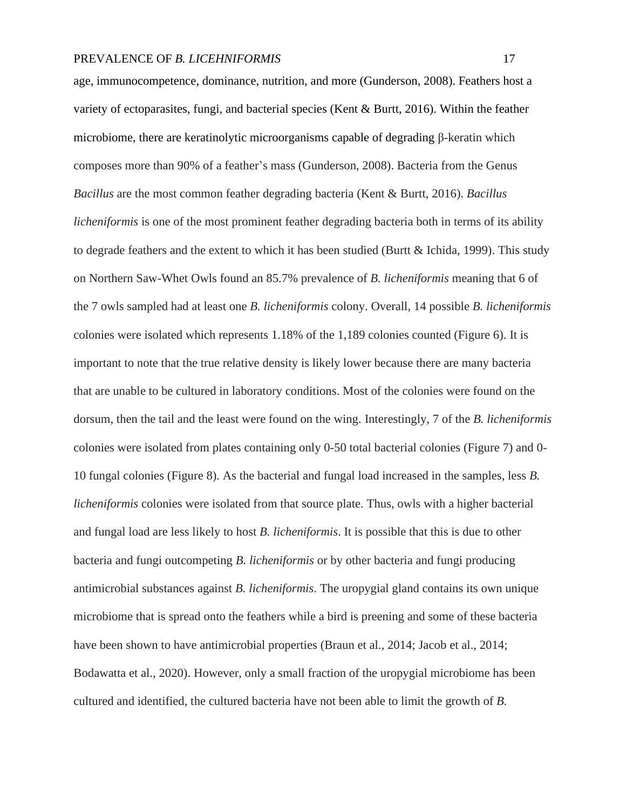age, immunocompetence, dominance, nutrition, and more (Gunderson, 2008). Feathers host a variety of ectoparasites, fungi, and bacterial species (Kent & Burtt, 2016). Within the feather microbiome, there are keratinolytic microorganisms capable of degrading β-keratin which composes more than 90% of a feather's mass (Gunderson, 2008). Bacteria from the Genus *Bacillus* are the most common feather degrading bacteria (Kent & Burtt, 2016). *Bacillus licheniformis* is one of the most prominent feather degrading bacteria both in terms of its ability to degrade feathers and the extent to which it has been studied (Burtt & Ichida, 1999). This study on Northern Saw-Whet Owls found an 85.7% prevalence of *B. licheniformis* meaning that 6 of the 7 owls sampled had at least one *B. licheniformis* colony. Overall, 14 possible *B. licheniformis*  colonies were isolated which represents 1.18% of the 1,189 colonies counted (Figure 6). It is important to note that the true relative density is likely lower because there are many bacteria that are unable to be cultured in laboratory conditions. Most of the colonies were found on the dorsum, then the tail and the least were found on the wing. Interestingly, 7 of the *B. licheniformis*  colonies were isolated from plates containing only 0-50 total bacterial colonies (Figure 7) and 0- 10 fungal colonies (Figure 8). As the bacterial and fungal load increased in the samples, less *B. licheniformis* colonies were isolated from that source plate. Thus, owls with a higher bacterial and fungal load are less likely to host *B. licheniformis*. It is possible that this is due to other bacteria and fungi outcompeting *B. licheniformis* or by other bacteria and fungi producing antimicrobial substances against *B. licheniformis*. The uropygial gland contains its own unique microbiome that is spread onto the feathers while a bird is preening and some of these bacteria have been shown to have antimicrobial properties (Braun et al., 2014; Jacob et al., 2014; Bodawatta et al., 2020). However, only a small fraction of the uropygial microbiome has been cultured and identified, the cultured bacteria have not been able to limit the growth of *B.*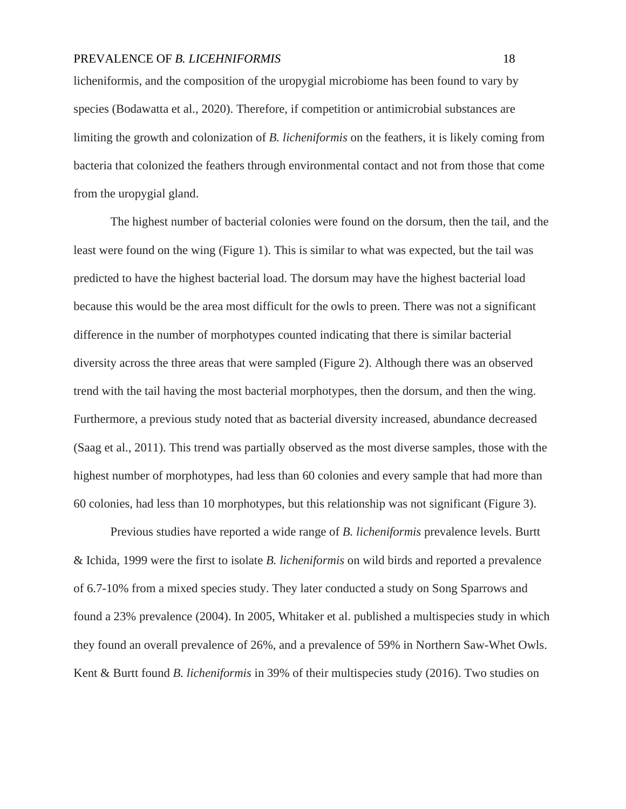licheniformis, and the composition of the uropygial microbiome has been found to vary by species (Bodawatta et al., 2020). Therefore, if competition or antimicrobial substances are limiting the growth and colonization of *B. licheniformis* on the feathers, it is likely coming from bacteria that colonized the feathers through environmental contact and not from those that come from the uropygial gland.

The highest number of bacterial colonies were found on the dorsum, then the tail, and the least were found on the wing (Figure 1). This is similar to what was expected, but the tail was predicted to have the highest bacterial load. The dorsum may have the highest bacterial load because this would be the area most difficult for the owls to preen. There was not a significant difference in the number of morphotypes counted indicating that there is similar bacterial diversity across the three areas that were sampled (Figure 2). Although there was an observed trend with the tail having the most bacterial morphotypes, then the dorsum, and then the wing. Furthermore, a previous study noted that as bacterial diversity increased, abundance decreased (Saag et al., 2011). This trend was partially observed as the most diverse samples, those with the highest number of morphotypes, had less than 60 colonies and every sample that had more than 60 colonies, had less than 10 morphotypes, but this relationship was not significant (Figure 3).

Previous studies have reported a wide range of *B. licheniformis* prevalence levels. Burtt & Ichida, 1999 were the first to isolate *B. licheniformis* on wild birds and reported a prevalence of 6.7-10% from a mixed species study. They later conducted a study on Song Sparrows and found a 23% prevalence (2004). In 2005, Whitaker et al. published a multispecies study in which they found an overall prevalence of 26%, and a prevalence of 59% in Northern Saw-Whet Owls. Kent & Burtt found *B. licheniformis* in 39% of their multispecies study (2016). Two studies on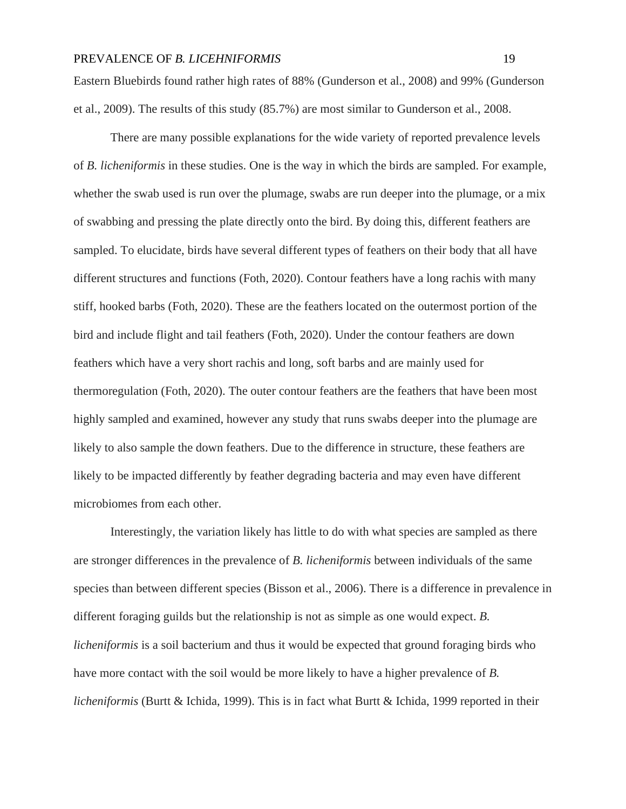Eastern Bluebirds found rather high rates of 88% (Gunderson et al., 2008) and 99% (Gunderson et al., 2009). The results of this study (85.7%) are most similar to Gunderson et al., 2008.

There are many possible explanations for the wide variety of reported prevalence levels of *B. licheniformis* in these studies. One is the way in which the birds are sampled. For example, whether the swab used is run over the plumage, swabs are run deeper into the plumage, or a mix of swabbing and pressing the plate directly onto the bird. By doing this, different feathers are sampled. To elucidate, birds have several different types of feathers on their body that all have different structures and functions (Foth, 2020). Contour feathers have a long rachis with many stiff, hooked barbs (Foth, 2020). These are the feathers located on the outermost portion of the bird and include flight and tail feathers (Foth, 2020). Under the contour feathers are down feathers which have a very short rachis and long, soft barbs and are mainly used for thermoregulation (Foth, 2020). The outer contour feathers are the feathers that have been most highly sampled and examined, however any study that runs swabs deeper into the plumage are likely to also sample the down feathers. Due to the difference in structure, these feathers are likely to be impacted differently by feather degrading bacteria and may even have different microbiomes from each other.

Interestingly, the variation likely has little to do with what species are sampled as there are stronger differences in the prevalence of *B. licheniformis* between individuals of the same species than between different species (Bisson et al., 2006). There is a difference in prevalence in different foraging guilds but the relationship is not as simple as one would expect. *B. licheniformis* is a soil bacterium and thus it would be expected that ground foraging birds who have more contact with the soil would be more likely to have a higher prevalence of *B. licheniformis* (Burtt & Ichida, 1999). This is in fact what Burtt & Ichida, 1999 reported in their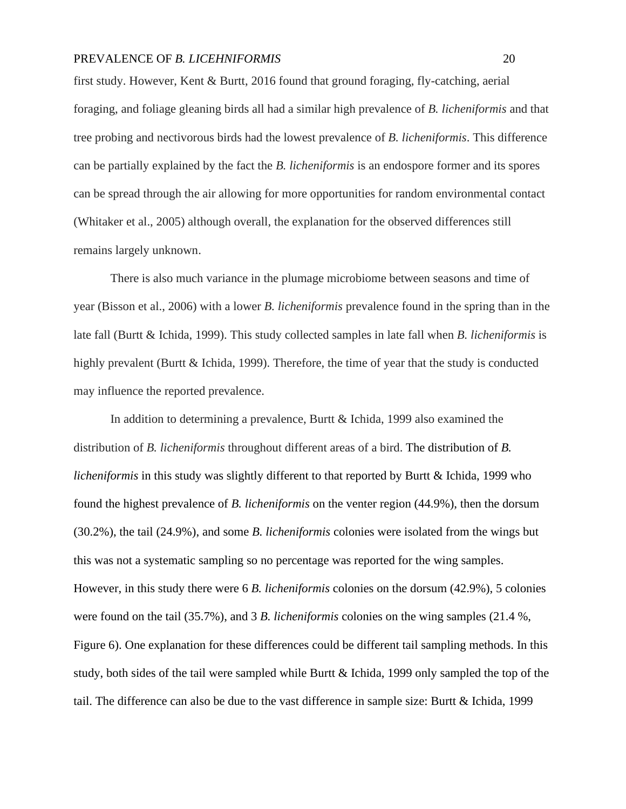first study. However, Kent & Burtt, 2016 found that ground foraging, fly-catching, aerial foraging, and foliage gleaning birds all had a similar high prevalence of *B. licheniformis* and that tree probing and nectivorous birds had the lowest prevalence of *B. licheniformis*. This difference can be partially explained by the fact the *B. licheniformis* is an endospore former and its spores can be spread through the air allowing for more opportunities for random environmental contact (Whitaker et al., 2005) although overall, the explanation for the observed differences still remains largely unknown.

There is also much variance in the plumage microbiome between seasons and time of year (Bisson et al., 2006) with a lower *B. licheniformis* prevalence found in the spring than in the late fall (Burtt & Ichida, 1999). This study collected samples in late fall when *B. licheniformis* is highly prevalent (Burtt & Ichida, 1999). Therefore, the time of year that the study is conducted may influence the reported prevalence.

In addition to determining a prevalence, Burtt & Ichida, 1999 also examined the distribution of *B. licheniformis* throughout different areas of a bird. The distribution of *B. licheniformis* in this study was slightly different to that reported by Burtt & Ichida, 1999 who found the highest prevalence of *B. licheniformis* on the venter region (44.9%), then the dorsum (30.2%), the tail (24.9%), and some *B. licheniformis* colonies were isolated from the wings but this was not a systematic sampling so no percentage was reported for the wing samples. However, in this study there were 6 *B. licheniformis* colonies on the dorsum (42.9%), 5 colonies were found on the tail (35.7%), and 3 *B. licheniformis* colonies on the wing samples (21.4 %, Figure 6). One explanation for these differences could be different tail sampling methods. In this study, both sides of the tail were sampled while Burtt & Ichida, 1999 only sampled the top of the tail. The difference can also be due to the vast difference in sample size: Burtt & Ichida, 1999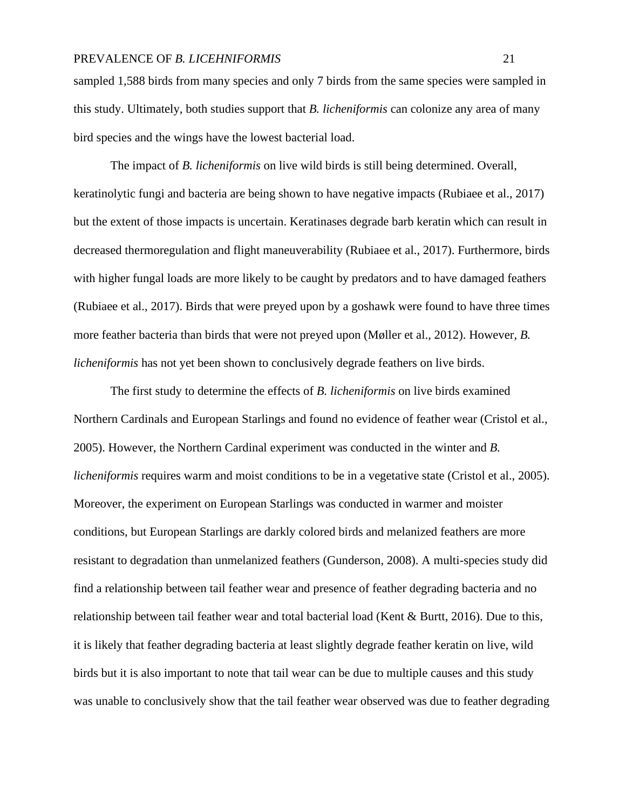sampled 1,588 birds from many species and only 7 birds from the same species were sampled in this study. Ultimately, both studies support that *B. licheniformis* can colonize any area of many bird species and the wings have the lowest bacterial load.

The impact of *B. licheniformis* on live wild birds is still being determined. Overall, keratinolytic fungi and bacteria are being shown to have negative impacts (Rubiaee et al., 2017) but the extent of those impacts is uncertain. Keratinases degrade barb keratin which can result in decreased thermoregulation and flight maneuverability (Rubiaee et al., 2017). Furthermore, birds with higher fungal loads are more likely to be caught by predators and to have damaged feathers (Rubiaee et al., 2017). Birds that were preyed upon by a goshawk were found to have three times more feather bacteria than birds that were not preyed upon (Møller et al., 2012). However, *B. licheniformis* has not yet been shown to conclusively degrade feathers on live birds.

The first study to determine the effects of *B. licheniformis* on live birds examined Northern Cardinals and European Starlings and found no evidence of feather wear (Cristol et al., 2005). However, the Northern Cardinal experiment was conducted in the winter and *B. licheniformis* requires warm and moist conditions to be in a vegetative state (Cristol et al., 2005). Moreover, the experiment on European Starlings was conducted in warmer and moister conditions, but European Starlings are darkly colored birds and melanized feathers are more resistant to degradation than unmelanized feathers (Gunderson, 2008). A multi-species study did find a relationship between tail feather wear and presence of feather degrading bacteria and no relationship between tail feather wear and total bacterial load (Kent & Burtt, 2016). Due to this, it is likely that feather degrading bacteria at least slightly degrade feather keratin on live, wild birds but it is also important to note that tail wear can be due to multiple causes and this study was unable to conclusively show that the tail feather wear observed was due to feather degrading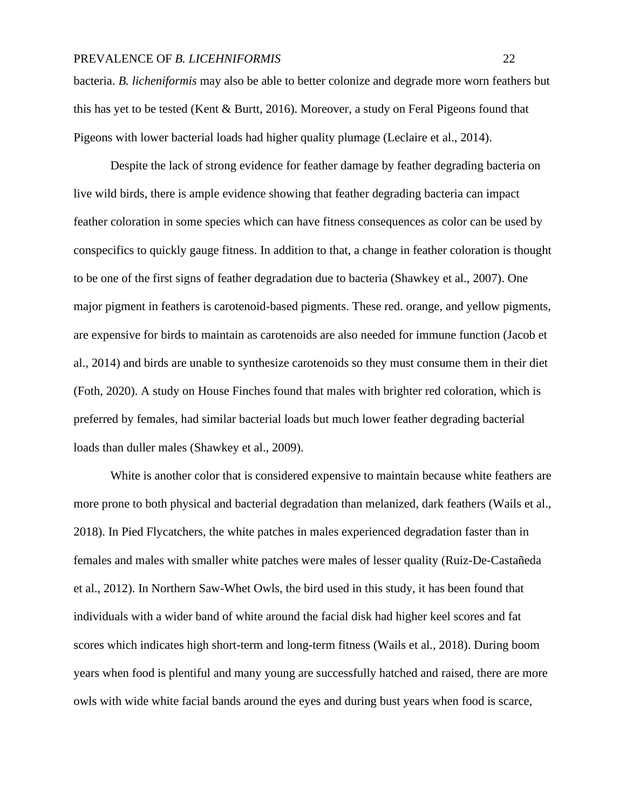bacteria. *B. licheniformis* may also be able to better colonize and degrade more worn feathers but this has yet to be tested (Kent & Burtt, 2016). Moreover, a study on Feral Pigeons found that Pigeons with lower bacterial loads had higher quality plumage (Leclaire et al., 2014).

Despite the lack of strong evidence for feather damage by feather degrading bacteria on live wild birds, there is ample evidence showing that feather degrading bacteria can impact feather coloration in some species which can have fitness consequences as color can be used by conspecifics to quickly gauge fitness. In addition to that, a change in feather coloration is thought to be one of the first signs of feather degradation due to bacteria (Shawkey et al., 2007). One major pigment in feathers is carotenoid-based pigments. These red. orange, and yellow pigments, are expensive for birds to maintain as carotenoids are also needed for immune function (Jacob et al., 2014) and birds are unable to synthesize carotenoids so they must consume them in their diet (Foth, 2020). A study on House Finches found that males with brighter red coloration, which is preferred by females, had similar bacterial loads but much lower feather degrading bacterial loads than duller males (Shawkey et al., 2009).

White is another color that is considered expensive to maintain because white feathers are more prone to both physical and bacterial degradation than melanized, dark feathers (Wails et al., 2018). In Pied Flycatchers, the white patches in males experienced degradation faster than in females and males with smaller white patches were males of lesser quality (Ruiz-De-Castañeda et al., 2012). In Northern Saw-Whet Owls, the bird used in this study, it has been found that individuals with a wider band of white around the facial disk had higher keel scores and fat scores which indicates high short-term and long-term fitness (Wails et al., 2018). During boom years when food is plentiful and many young are successfully hatched and raised, there are more owls with wide white facial bands around the eyes and during bust years when food is scarce,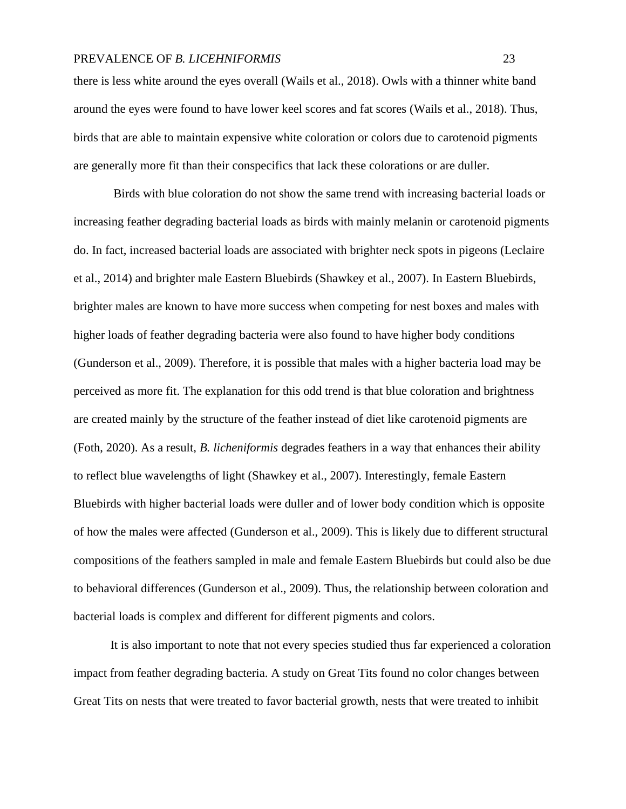there is less white around the eyes overall (Wails et al., 2018). Owls with a thinner white band around the eyes were found to have lower keel scores and fat scores (Wails et al., 2018). Thus, birds that are able to maintain expensive white coloration or colors due to carotenoid pigments are generally more fit than their conspecifics that lack these colorations or are duller.

Birds with blue coloration do not show the same trend with increasing bacterial loads or increasing feather degrading bacterial loads as birds with mainly melanin or carotenoid pigments do. In fact, increased bacterial loads are associated with brighter neck spots in pigeons (Leclaire et al., 2014) and brighter male Eastern Bluebirds (Shawkey et al., 2007). In Eastern Bluebirds, brighter males are known to have more success when competing for nest boxes and males with higher loads of feather degrading bacteria were also found to have higher body conditions (Gunderson et al., 2009). Therefore, it is possible that males with a higher bacteria load may be perceived as more fit. The explanation for this odd trend is that blue coloration and brightness are created mainly by the structure of the feather instead of diet like carotenoid pigments are (Foth, 2020). As a result, *B. licheniformis* degrades feathers in a way that enhances their ability to reflect blue wavelengths of light (Shawkey et al., 2007). Interestingly, female Eastern Bluebirds with higher bacterial loads were duller and of lower body condition which is opposite of how the males were affected (Gunderson et al., 2009). This is likely due to different structural compositions of the feathers sampled in male and female Eastern Bluebirds but could also be due to behavioral differences (Gunderson et al., 2009). Thus, the relationship between coloration and bacterial loads is complex and different for different pigments and colors.

It is also important to note that not every species studied thus far experienced a coloration impact from feather degrading bacteria. A study on Great Tits found no color changes between Great Tits on nests that were treated to favor bacterial growth, nests that were treated to inhibit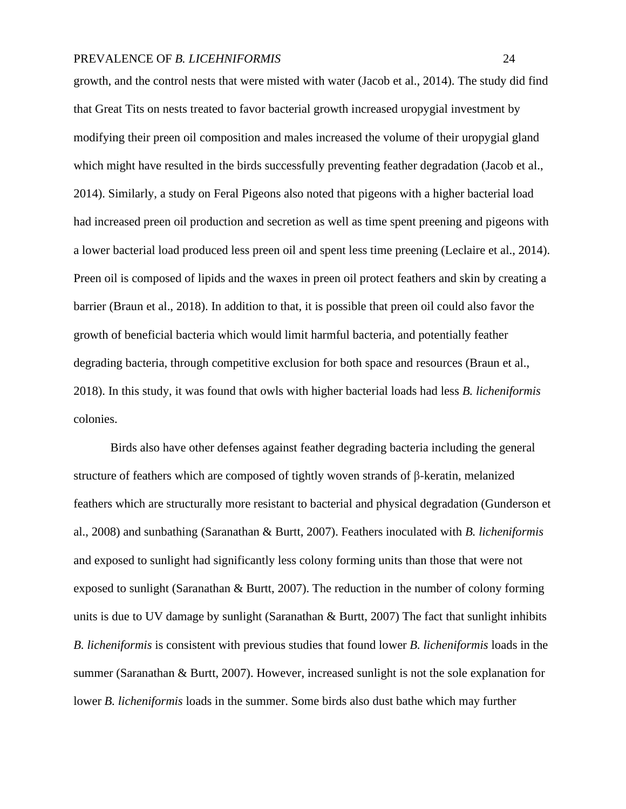growth, and the control nests that were misted with water (Jacob et al., 2014). The study did find that Great Tits on nests treated to favor bacterial growth increased uropygial investment by modifying their preen oil composition and males increased the volume of their uropygial gland which might have resulted in the birds successfully preventing feather degradation (Jacob et al., 2014). Similarly, a study on Feral Pigeons also noted that pigeons with a higher bacterial load had increased preen oil production and secretion as well as time spent preening and pigeons with a lower bacterial load produced less preen oil and spent less time preening (Leclaire et al., 2014). Preen oil is composed of lipids and the waxes in preen oil protect feathers and skin by creating a barrier (Braun et al., 2018). In addition to that, it is possible that preen oil could also favor the growth of beneficial bacteria which would limit harmful bacteria, and potentially feather degrading bacteria, through competitive exclusion for both space and resources (Braun et al., 2018). In this study, it was found that owls with higher bacterial loads had less *B. licheniformis*  colonies.

Birds also have other defenses against feather degrading bacteria including the general structure of feathers which are composed of tightly woven strands of β-keratin, melanized feathers which are structurally more resistant to bacterial and physical degradation (Gunderson et al., 2008) and sunbathing (Saranathan & Burtt, 2007). Feathers inoculated with *B. licheniformis*  and exposed to sunlight had significantly less colony forming units than those that were not exposed to sunlight (Saranathan  $\&$  Burtt, 2007). The reduction in the number of colony forming units is due to UV damage by sunlight (Saranathan & Burtt, 2007) The fact that sunlight inhibits *B. licheniformis* is consistent with previous studies that found lower *B. licheniformis* loads in the summer (Saranathan & Burtt, 2007). However, increased sunlight is not the sole explanation for lower *B. licheniformis* loads in the summer. Some birds also dust bathe which may further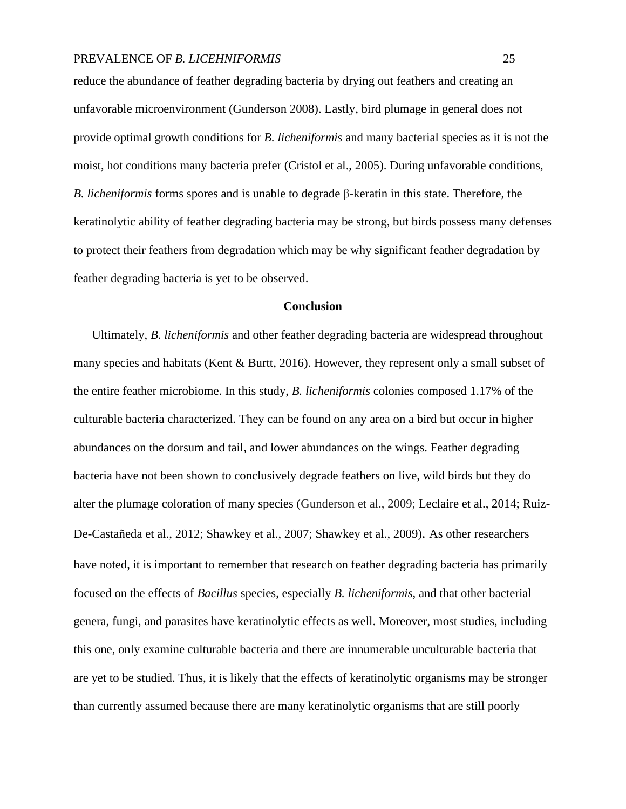reduce the abundance of feather degrading bacteria by drying out feathers and creating an unfavorable microenvironment (Gunderson 2008). Lastly, bird plumage in general does not provide optimal growth conditions for *B. licheniformis* and many bacterial species as it is not the moist, hot conditions many bacteria prefer (Cristol et al., 2005). During unfavorable conditions, *B. licheniformis* forms spores and is unable to degrade β-keratin in this state. Therefore, the keratinolytic ability of feather degrading bacteria may be strong, but birds possess many defenses to protect their feathers from degradation which may be why significant feather degradation by feather degrading bacteria is yet to be observed.

#### **Conclusion**

Ultimately, *B. licheniformis* and other feather degrading bacteria are widespread throughout many species and habitats (Kent & Burtt, 2016). However, they represent only a small subset of the entire feather microbiome. In this study, *B. licheniformis* colonies composed 1.17% of the culturable bacteria characterized. They can be found on any area on a bird but occur in higher abundances on the dorsum and tail, and lower abundances on the wings. Feather degrading bacteria have not been shown to conclusively degrade feathers on live, wild birds but they do alter the plumage coloration of many species (Gunderson et al., 2009; Leclaire et al., 2014; Ruiz-De-Castañeda et al., 2012; Shawkey et al., 2007; Shawkey et al., 2009). As other researchers have noted, it is important to remember that research on feather degrading bacteria has primarily focused on the effects of *Bacillus* species, especially *B. licheniformis,* and that other bacterial genera, fungi, and parasites have keratinolytic effects as well. Moreover, most studies, including this one, only examine culturable bacteria and there are innumerable unculturable bacteria that are yet to be studied. Thus, it is likely that the effects of keratinolytic organisms may be stronger than currently assumed because there are many keratinolytic organisms that are still poorly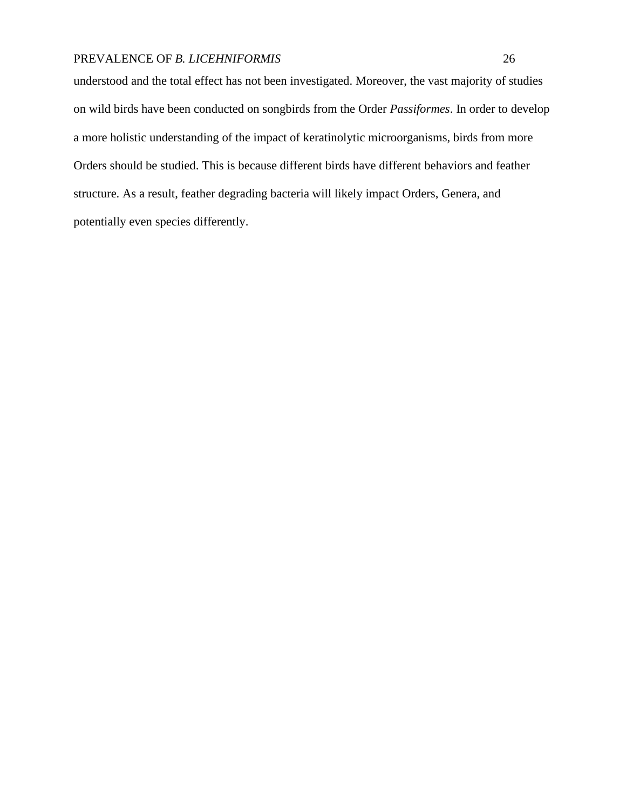understood and the total effect has not been investigated. Moreover, the vast majority of studies on wild birds have been conducted on songbirds from the Order *Passiformes*. In order to develop a more holistic understanding of the impact of keratinolytic microorganisms, birds from more Orders should be studied. This is because different birds have different behaviors and feather structure. As a result, feather degrading bacteria will likely impact Orders, Genera, and potentially even species differently.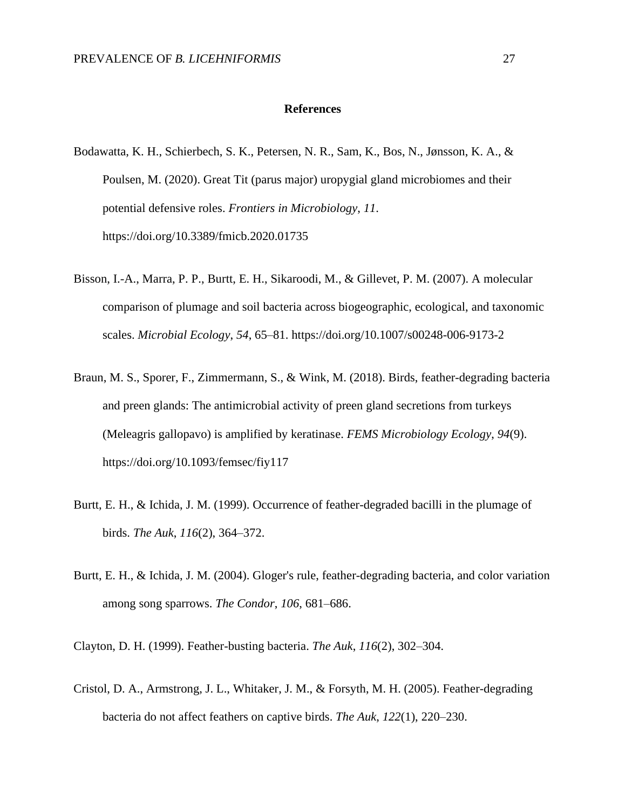#### **References**

- Bodawatta, K. H., Schierbech, S. K., Petersen, N. R., Sam, K., Bos, N., Jønsson, K. A., & Poulsen, M. (2020). Great Tit (parus major) uropygial gland microbiomes and their potential defensive roles. *Frontiers in Microbiology*, *11*. https://doi.org/10.3389/fmicb.2020.01735
- Bisson, I.-A., Marra, P. P., Burtt, E. H., Sikaroodi, M., & Gillevet, P. M. (2007). A molecular comparison of plumage and soil bacteria across biogeographic, ecological, and taxonomic scales. *Microbial Ecology*, *54*, 65–81. https://doi.org/10.1007/s00248-006-9173-2
- Braun, M. S., Sporer, F., Zimmermann, S., & Wink, M. (2018). Birds, feather-degrading bacteria and preen glands: The antimicrobial activity of preen gland secretions from turkeys (Meleagris gallopavo) is amplified by keratinase. *FEMS Microbiology Ecology*, *94*(9). https://doi.org/10.1093/femsec/fiy117
- Burtt, E. H., & Ichida, J. M. (1999). Occurrence of feather-degraded bacilli in the plumage of birds. *The Auk*, *116*(2), 364–372.
- Burtt, E. H., & Ichida, J. M. (2004). Gloger's rule, feather-degrading bacteria, and color variation among song sparrows. *The Condor*, *106*, 681–686.

Clayton, D. H. (1999). Feather-busting bacteria. *The Auk*, *116*(2), 302–304.

Cristol, D. A., Armstrong, J. L., Whitaker, J. M., & Forsyth, M. H. (2005). Feather-degrading bacteria do not affect feathers on captive birds. *The Auk*, *122*(1), 220–230.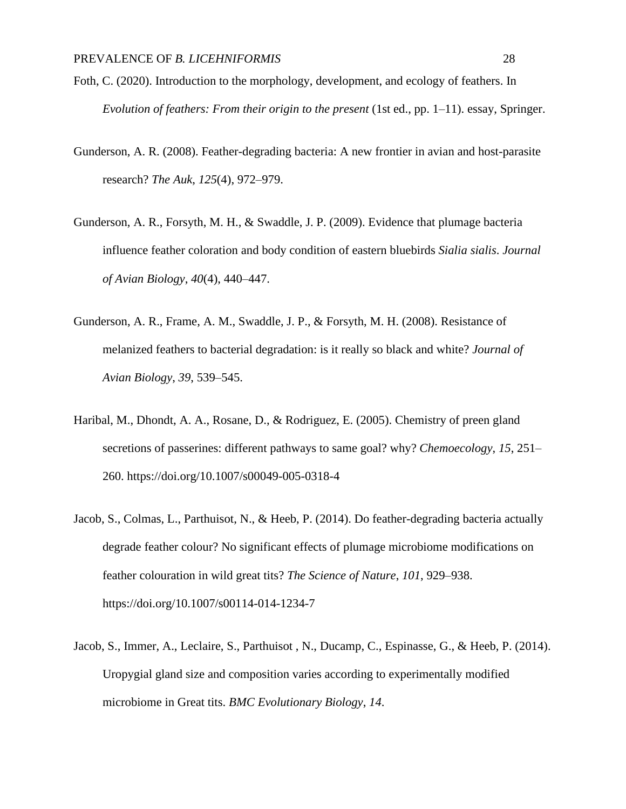- Foth, C. (2020). Introduction to the morphology, development, and ecology of feathers. In *Evolution of feathers: From their origin to the present* (1st ed., pp. 1–11). essay, Springer.
- Gunderson, A. R. (2008). Feather-degrading bacteria: A new frontier in avian and host-parasite research? *The Auk*, *125*(4), 972–979.
- Gunderson, A. R., Forsyth, M. H., & Swaddle, J. P. (2009). Evidence that plumage bacteria influence feather coloration and body condition of eastern bluebirds *Sialia sialis*. *Journal of Avian Biology*, *40*(4), 440–447.
- Gunderson, A. R., Frame, A. M., Swaddle, J. P., & Forsyth, M. H. (2008). Resistance of melanized feathers to bacterial degradation: is it really so black and white? *Journal of Avian Biology*, *39*, 539–545.
- Haribal, M., Dhondt, A. A., Rosane, D., & Rodriguez, E. (2005). Chemistry of preen gland secretions of passerines: different pathways to same goal? why? *Chemoecology*, *15*, 251– 260. https://doi.org/10.1007/s00049-005-0318-4
- Jacob, S., Colmas, L., Parthuisot, N., & Heeb, P. (2014). Do feather-degrading bacteria actually degrade feather colour? No significant effects of plumage microbiome modifications on feather colouration in wild great tits? *The Science of Nature*, *101*, 929–938. https://doi.org/10.1007/s00114-014-1234-7
- Jacob, S., Immer, A., Leclaire, S., Parthuisot , N., Ducamp, C., Espinasse, G., & Heeb, P. (2014). Uropygial gland size and composition varies according to experimentally modified microbiome in Great tits. *BMC Evolutionary Biology*, *14*.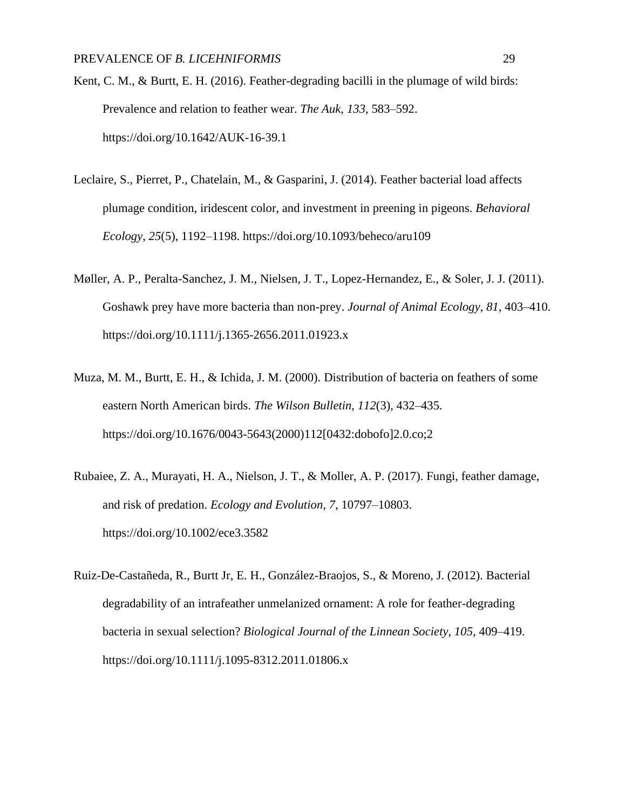- Kent, C. M., & Burtt, E. H. (2016). Feather-degrading bacilli in the plumage of wild birds: Prevalence and relation to feather wear. *The Auk*, *133*, 583–592. https://doi.org/10.1642/AUK-16-39.1
- Leclaire, S., Pierret, P., Chatelain, M., & Gasparini, J. (2014). Feather bacterial load affects plumage condition, iridescent color, and investment in preening in pigeons. *Behavioral Ecology*, *25*(5), 1192–1198. https://doi.org/10.1093/beheco/aru109
- Møller, A. P., Peralta-Sanchez, J. M., Nielsen, J. T., Lopez-Hernandez, E., & Soler, J. J. (2011). Goshawk prey have more bacteria than non-prey. *Journal of Animal Ecology*, *81*, 403–410. https://doi.org/10.1111/j.1365-2656.2011.01923.x
- Muza, M. M., Burtt, E. H., & Ichida, J. M. (2000). Distribution of bacteria on feathers of some eastern North American birds. *The Wilson Bulletin*, *112*(3), 432–435. https://doi.org/10.1676/0043-5643(2000)112[0432:dobofo]2.0.co;2
- Rubaiee, Z. A., Murayati, H. A., Nielson, J. T., & Moller, A. P. (2017). Fungi, feather damage, and risk of predation. *Ecology and Evolution*, *7*, 10797–10803. https://doi.org/10.1002/ece3.3582
- Ruiz-De-Castañeda, R., Burtt Jr, E. H., González-Braojos, S., & Moreno, J. (2012). Bacterial degradability of an intrafeather unmelanized ornament: A role for feather-degrading bacteria in sexual selection? *Biological Journal of the Linnean Society*, *105*, 409–419. https://doi.org/10.1111/j.1095-8312.2011.01806.x